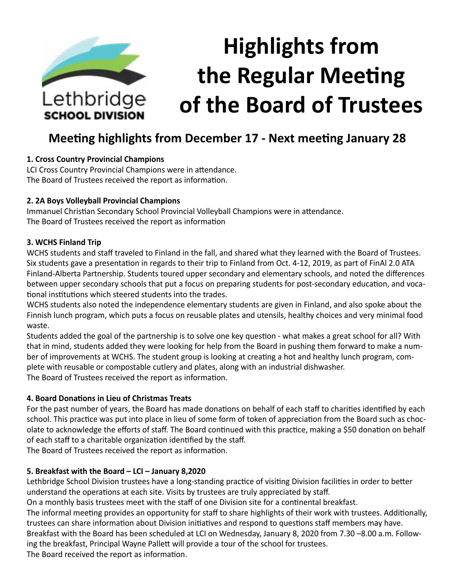

# **Meeting highlights from December 17 - Next meeting January 28**

#### **1. Cross Country Provincial Champions**

LCI Cross Country Provincial Champions were in attendance. The Board of Trustees received the report as information.

#### **2. 2A Boys Volleyball Provincial Champions**

Immanuel Christian Secondary School Provincial Volleyball Champions were in attendance. The Board of Trustees received the report as information

#### **3. WCHS Finland Trip**

WCHS students and staff traveled to Finland in the fall, and shared what they learned with the Board of Trustees. Six students gave a presentation in regards to their trip to Finland from Oct. 4-12, 2019, as part of FinAl 2.0 ATA Finland-Alberta Partnership. Students toured upper secondary and elementary schools, and noted the differences between upper secondary schools that put a focus on preparing students for post-secondary education, and vocational institutions which steered students into the trades.

WCHS students also noted the independence elementary students are given in Finland, and also spoke about the Finnish lunch program, which puts a focus on reusable plates and utensils, healthy choices and very minimal food waste.

Students added the goal of the partnership is to solve one key question - what makes a great school for all? With that in mind, students added they were looking for help from the Board in pushing them forward to make a number of improvements at WCHS. The student group is looking at creating a hot and healthy lunch program, complete with reusable or compostable cutlery and plates, along with an industrial dishwasher. The Board of Trustees received the report as information.

#### **4. Board Donations in Lieu of Christmas Treats**

For the past number of years, the Board has made donations on behalf of each staff to charities identified by each school. This practice was put into place in lieu of some form of token of appreciation from the Board such as chocolate to acknowledge the efforts of staff. The Board continued with this practice, making a \$50 donation on behalf of each staff to a charitable organization identified by the staff.

The Board of Trustees received the report as information.

## **5. Breakfast with the Board – LCI – January 8,2020**

Lethbridge School Division trustees have a long-standing practice of visiting Division facilities in order to better understand the operations at each site. Visits by trustees are truly appreciated by staff.

On a monthly basis trustees meet with the staff of one Division site for a continental breakfast.

The informal meeting provides an opportunity for staff to share highlights of their work with trustees. Additionally, trustees can share information about Division initiatives and respond to questions staff members may have. Breakfast with the Board has been scheduled at LCI on Wednesday, January 8, 2020 from 7.30 –8.00 a.m. Follow-

ing the breakfast, Principal Wayne Pallett will provide a tour of the school for trustees.

The Board received the report as information.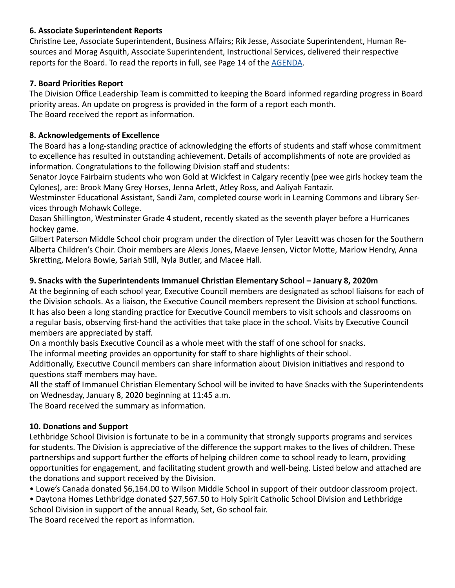## **6. Associate Superintendent Reports**

Christine Lee, Associate Superintendent, Business Affairs; Rik Jesse, Associate Superintendent, Human Resources and Morag Asquith, Associate Superintendent, Instructional Services, delivered their respective reports for the Board. To read the reports in full, see Page 14 of the [AGENDA](https://www.lethsd.ab.ca/download/223698).

# **7. Board Priorities Report**

The Division Office Leadership Team is committed to keeping the Board informed regarding progress in Board priority areas. An update on progress is provided in the form of a report each month. The Board received the report as information.

# **8. Acknowledgements of Excellence**

The Board has a long-standing practice of acknowledging the efforts of students and staff whose commitment to excellence has resulted in outstanding achievement. Details of accomplishments of note are provided as information. Congratulations to the following Division staff and students:

Senator Joyce Fairbairn students who won Gold at Wickfest in Calgary recently (pee wee girls hockey team the Cylones), are: Brook Many Grey Horses, Jenna Arlett, Atley Ross, and Aaliyah Fantazir.

Westminster Educational Assistant, Sandi Zam, completed course work in Learning Commons and Library Services through Mohawk College.

Dasan Shillington, Westminster Grade 4 student, recently skated as the seventh player before a Hurricanes hockey game.

Gilbert Paterson Middle School choir program under the direction of Tyler Leavitt was chosen for the Southern Alberta Children's Choir. Choir members are Alexis Jones, Maeve Jensen, Victor Motte, Marlow Hendry, Anna Skretting, Melora Bowie, Sariah Still, Nyla Butler, and Macee Hall.

# **9. Snacks with the Superintendents Immanuel Christian Elementary School – January 8, 2020m**

At the beginning of each school year, Executive Council members are designated as school liaisons for each of the Division schools. As a liaison, the Executive Council members represent the Division at school functions. It has also been a long standing practice for Executive Council members to visit schools and classrooms on a regular basis, observing first-hand the activities that take place in the school. Visits by Executive Council members are appreciated by staff.

On a monthly basis Executive Council as a whole meet with the staff of one school for snacks.

The informal meeting provides an opportunity for staff to share highlights of their school.

Additionally, Executive Council members can share information about Division initiatives and respond to questions staff members may have.

All the staff of Immanuel Christian Elementary School will be invited to have Snacks with the Superintendents on Wednesday, January 8, 2020 beginning at 11:45 a.m.

The Board received the summary as information.

## **10. Donations and Support**

Lethbridge School Division is fortunate to be in a community that strongly supports programs and services for students. The Division is appreciative of the difference the support makes to the lives of children. These partnerships and support further the efforts of helping children come to school ready to learn, providing opportunities for engagement, and facilitating student growth and well-being. Listed below and attached are the donations and support received by the Division.

• Lowe's Canada donated \$6,164.00 to Wilson Middle School in support of their outdoor classroom project. • Daytona Homes Lethbridge donated \$27,567.50 to Holy Spirit Catholic School Division and Lethbridge

School Division in support of the annual Ready, Set, Go school fair.

The Board received the report as information.